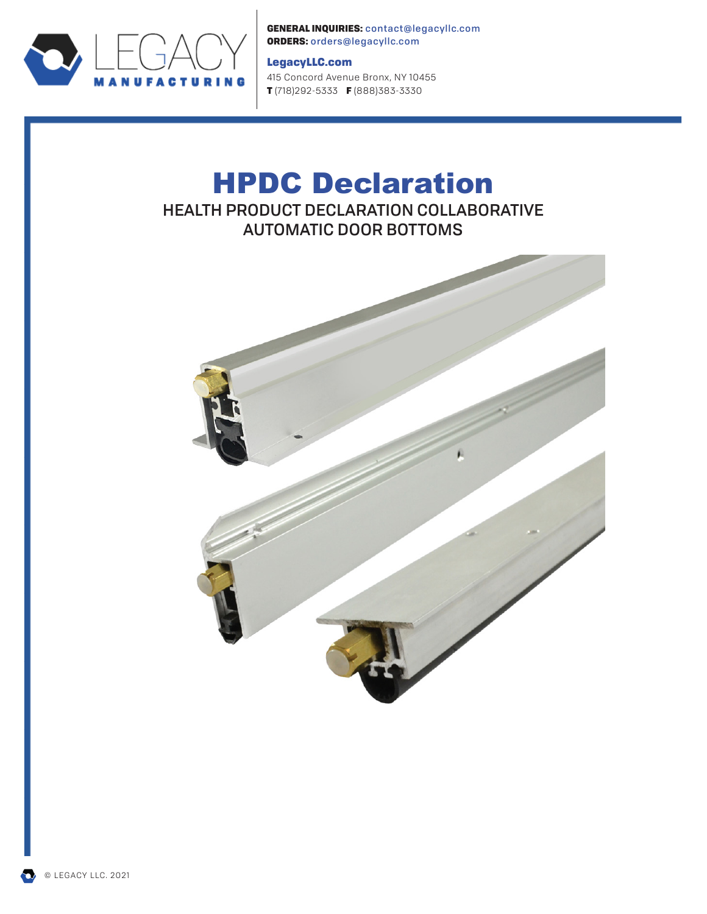

GENERAL INQUIRIES: contact@legacyllc.com ORDERS: orders@legacyllc.com

### LegacyLLC.com

415 Concord Avenue Bronx, NY 10455 T (718)292-5333 F (888)383-3330

# HPDC Declaration HEALTH PRODUCT DECLARATION COLLABORATIVE AUTOMATIC DOOR BOTTOMS



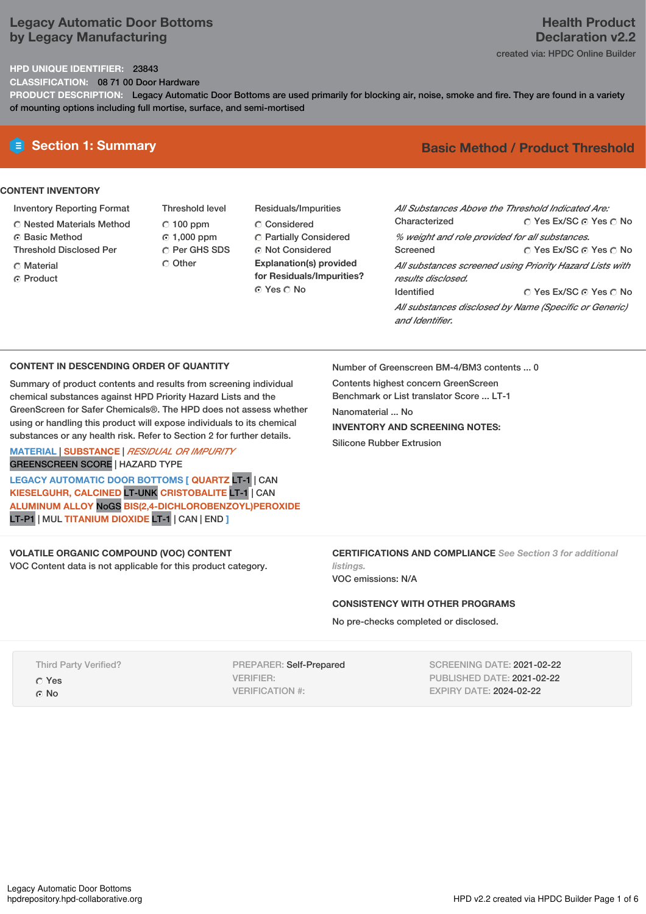## **Legacy Automatic Door Bottoms by Legacy Manufacturing**

## **Health Product Declaration v2.2** created via: HPDC Online Builder

## **HPD UNIQUE IDENTIFIER:** 23843

**CLASSIFICATION:** 08 71 00 Door Hardware

**PRODUCT DESCRIPTION:** Legacy Automatic Door Bottoms are used primarily for blocking air, noise, smoke and fire. They are found in a variety of mounting options including full mortise, surface, and semi-mortised

## **CONTENT INVENTORY**

- Inventory Reporting Format
- Nested Materials Method
- **6** Basic Method
- Threshold Disclosed Per
- C Material ⊙ Product
- Threshold level  $C$  100 ppm 1,000 ppm C Per GHS SDS Other
- Residuals/Impurities Considered Partially Considered **C** Not Considered **Explanation(s) provided for Residuals/Impurities?** ⊙ Yes O No

## **E** Section 1: Summary **Basic** Method / Product Threshold

| All Substances Above the Threshold Indicated Are: |                                                          |
|---------------------------------------------------|----------------------------------------------------------|
| Characterized                                     | ∩ Yes Ex/SC ∩ Yes ∩ No                                   |
| % weight and role provided for all substances.    |                                                          |
| Screened                                          | ∩ Yes Ex/SC ∩ Yes ∩ No                                   |
| results disclosed.                                | All substances screened using Priority Hazard Lists with |
| <b>Identified</b>                                 | ∩ Yes Ex/SC ∩ Yes ∩ No                                   |
| and Identifier.                                   | All substances disclosed by Name (Specific or Generic)   |

### **CONTENT IN DESCENDING ORDER OF QUANTITY**

Summary of product contents and results from screening individual chemical substances against HPD Priority Hazard Lists and the GreenScreen for Safer Chemicals®. The HPD does not assess whether using or handling this product will expose individuals to its chemical substances or any health risk. Refer to Section 2 for further details.

**MATERIAL** | **SUBSTANCE** | *RESIDUAL OR IMPURITY* GREENSCREEN SCORE | HAZARD TYPE

**LEGACY AUTOMATIC DOOR BOTTOMS [ QUARTZ** LT-1 | CAN **KIESELGUHR, CALCINED** LT-UNK **CRISTOBALITE** LT-1 | CAN **ALUMINUM ALLOY** NoGS **BIS(2,4-DICHLOROBENZOYL)PEROXIDE** LT-P1 | MUL **TITANIUM DIOXIDE** LT-1 | CAN | END **]**

## **VOLATILE ORGANIC COMPOUND (VOC) CONTENT**

VOC Content data is not applicable for this product category.

Number of Greenscreen BM-4/BM3 contents ... 0

Contents highest concern GreenScreen Benchmark or List translator Score ... LT-1 Nanomaterial ... No **INVENTORY AND SCREENING NOTES:** Silicone Rubber Extrusion

**CERTIFICATIONS AND COMPLIANCE** *See Section 3 for additional listings.* VOC emissions: N/A

**CONSISTENCY WITH OTHER PROGRAMS**

No pre-checks completed or disclosed.

Third Party Verified? Yes ⊙ No

PREPARER: Self-Prepared VERIFIER: VERIFICATION #:

SCREENING DATE: 2021-02-22 PUBLISHED DATE: 2021-02-22 EXPIRY DATE: 2024-02-22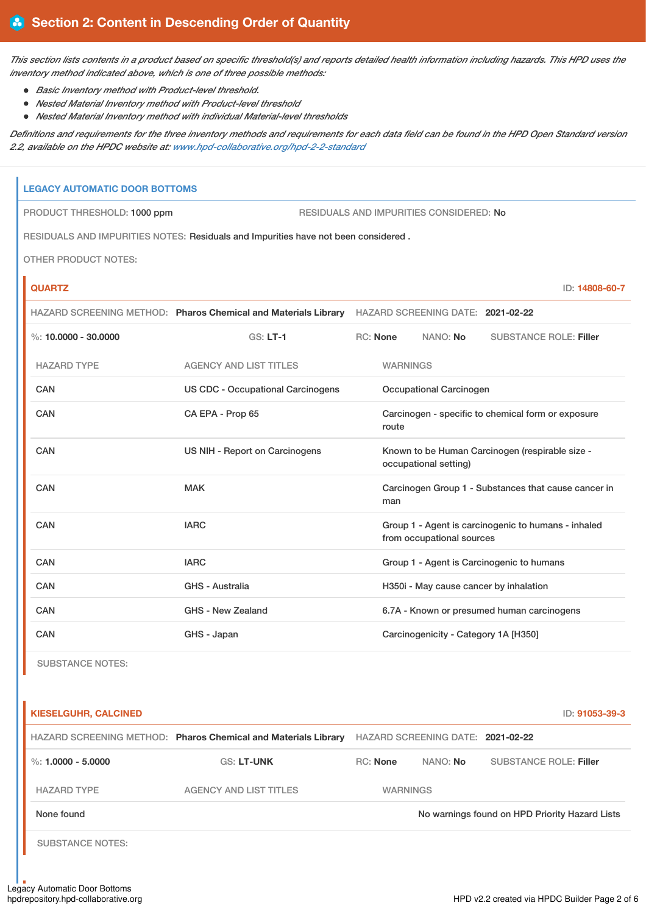This section lists contents in a product based on specific threshold(s) and reports detailed health information including hazards. This HPD uses the *inventory method indicated above, which is one of three possible methods:*

- *Basic Inventory method with Product-level threshold.*
- *Nested Material Inventory method with Product-level threshold*
- *Nested Material Inventory method with individual Material-level thresholds*

Definitions and requirements for the three inventory methods and requirements for each data field can be found in the HPD Open Standard version *2.2, available on the HPDC website at: [www.hpd-collaborative.org/hpd-2-2-standard](https://www.hpd-collaborative.org/hpd-2-2-standard)*

## **LEGACY AUTOMATIC DOOR BOTTOMS**

PRODUCT THRESHOLD: 1000 ppm RESIDUALS AND IMPURITIES CONSIDERED: No

RESIDUALS AND IMPURITIES NOTES: Residuals and Impurities have not been considered .

OTHER PRODUCT NOTES:

### **QUARTZ** ID: **14808-60-7**

|                        | HAZARD SCREENING METHOD: Pharos Chemical and Materials Library HAZARD SCREENING DATE: 2021-02-22 |                 |                                      |                                                      |
|------------------------|--------------------------------------------------------------------------------------------------|-----------------|--------------------------------------|------------------------------------------------------|
| %: $10.0000 - 30.0000$ | $GS: LT-1$                                                                                       | RC: None        | NANO: No                             | <b>SUBSTANCE ROLE: Filler</b>                        |
| <b>HAZARD TYPE</b>     | <b>AGENCY AND LIST TITLES</b>                                                                    | <b>WARNINGS</b> |                                      |                                                      |
| <b>CAN</b>             | <b>US CDC - Occupational Carcinogens</b>                                                         |                 | Occupational Carcinogen              |                                                      |
| CAN                    | CA EPA - Prop 65                                                                                 | route           |                                      | Carcinogen - specific to chemical form or exposure   |
| CAN                    | US NIH - Report on Carcinogens                                                                   |                 | occupational setting)                | Known to be Human Carcinogen (respirable size -      |
| CAN                    | <b>MAK</b>                                                                                       | man             |                                      | Carcinogen Group 1 - Substances that cause cancer in |
| CAN                    | <b>IARC</b>                                                                                      |                 | from occupational sources            | Group 1 - Agent is carcinogenic to humans - inhaled  |
| <b>CAN</b>             | <b>IARC</b>                                                                                      |                 |                                      | Group 1 - Agent is Carcinogenic to humans            |
| <b>CAN</b>             | GHS - Australia                                                                                  |                 |                                      | H350i - May cause cancer by inhalation               |
| <b>CAN</b>             | GHS - New Zealand                                                                                |                 |                                      | 6.7A - Known or presumed human carcinogens           |
| CAN                    | GHS - Japan                                                                                      |                 | Carcinogenicity - Category 1A [H350] |                                                      |

SUBSTANCE NOTES:

| <b>KIESELGUHR, CALCINED</b> |                                                                |                 |                                   | ID: 91053-39-3                                 |
|-----------------------------|----------------------------------------------------------------|-----------------|-----------------------------------|------------------------------------------------|
|                             | HAZARD SCREENING METHOD: Pharos Chemical and Materials Library |                 | HAZARD SCREENING DATE: 2021-02-22 |                                                |
| %: $1.0000 - 5.0000$        | <b>GS: LT-UNK</b>                                              | <b>RC:</b> None | NANO: <b>No</b>                   | <b>SUBSTANCE ROLE: Filler</b>                  |
| <b>HAZARD TYPE</b>          | <b>AGENCY AND LIST TITLES</b>                                  | <b>WARNINGS</b> |                                   |                                                |
| None found                  |                                                                |                 |                                   | No warnings found on HPD Priority Hazard Lists |
| <b>SUBSTANCE NOTES:</b>     |                                                                |                 |                                   |                                                |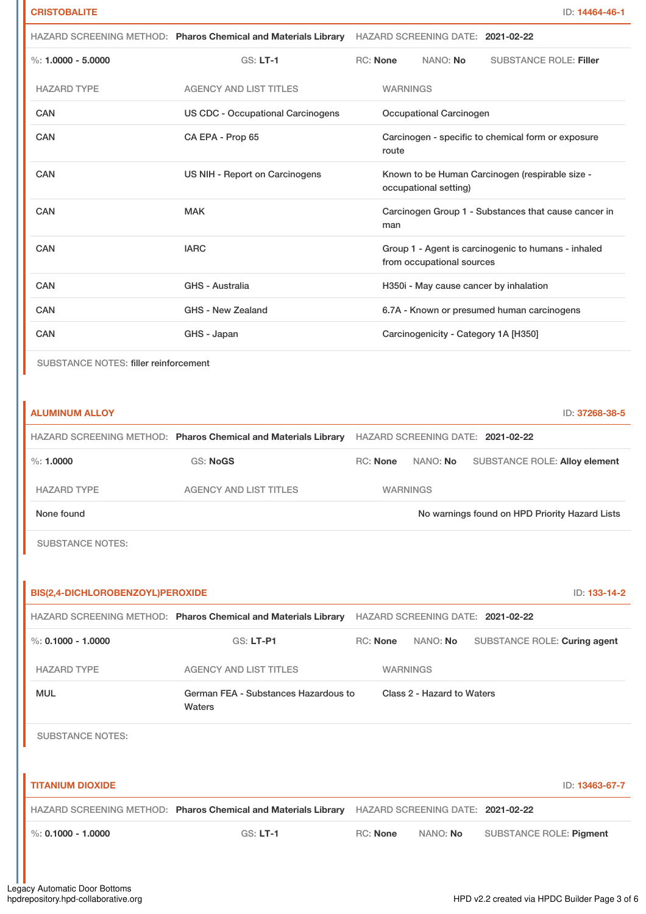|                                       | HAZARD SCREENING METHOD: Pharos Chemical and Materials Library HAZARD SCREENING DATE: 2021-02-22 |          |                           |                                                    |                                                      |
|---------------------------------------|--------------------------------------------------------------------------------------------------|----------|---------------------------|----------------------------------------------------|------------------------------------------------------|
| $\%: 1.0000 - 5.0000$                 | <b>GS: LT-1</b>                                                                                  | RC: None | NANO: No                  |                                                    | <b>SUBSTANCE ROLE: Filler</b>                        |
| <b>HAZARD TYPE</b>                    | <b>AGENCY AND LIST TITLES</b>                                                                    |          | <b>WARNINGS</b>           |                                                    |                                                      |
| <b>CAN</b>                            | <b>US CDC - Occupational Carcinogens</b>                                                         |          | Occupational Carcinogen   |                                                    |                                                      |
| CAN                                   | CA EPA - Prop 65                                                                                 | route    |                           | Carcinogen - specific to chemical form or exposure |                                                      |
| <b>CAN</b>                            | US NIH - Report on Carcinogens                                                                   |          | occupational setting)     | Known to be Human Carcinogen (respirable size -    |                                                      |
| <b>CAN</b>                            | <b>MAK</b>                                                                                       | man      |                           |                                                    | Carcinogen Group 1 - Substances that cause cancer in |
| <b>CAN</b>                            | <b>IARC</b>                                                                                      |          | from occupational sources |                                                    | Group 1 - Agent is carcinogenic to humans - inhaled  |
| <b>CAN</b>                            | <b>GHS - Australia</b>                                                                           |          |                           | H350i - May cause cancer by inhalation             |                                                      |
| CAN                                   | GHS - New Zealand                                                                                |          |                           | 6.7A - Known or presumed human carcinogens         |                                                      |
| <b>CAN</b>                            | GHS - Japan                                                                                      |          |                           | Carcinogenicity - Category 1A [H350]               |                                                      |
| SUBSTANCE NOTES: filler reinforcement |                                                                                                  |          |                           |                                                    |                                                      |
|                                       |                                                                                                  |          |                           |                                                    |                                                      |
| <b>ALUMINUM ALLOY</b>                 |                                                                                                  |          |                           |                                                    | ID: 37268-38-5                                       |
|                                       | HAZARD SCREENING METHOD: Pharos Chemical and Materials Library HAZARD SCREENING DATE: 2021-02-22 |          |                           |                                                    |                                                      |
| $\%: 1.0000$                          | <b>GS: NoGS</b>                                                                                  | RC: None | NANO: No                  |                                                    | SUBSTANCE ROLE: Alloy element                        |
| <b>HAZARD TYPE</b>                    | <b>AGENCY AND LIST TITLES</b>                                                                    |          | WARNINGS                  |                                                    |                                                      |

None found Now arnings found on HPD Priority Hazard Lists

SUBSTANCE NOTES:

| BIS(2,4-DICHLOROBENZOYL)PEROXIDE |                                                                |                 |                                   |                                | ID: 133-14-2   |
|----------------------------------|----------------------------------------------------------------|-----------------|-----------------------------------|--------------------------------|----------------|
|                                  | HAZARD SCREENING METHOD: Pharos Chemical and Materials Library |                 | HAZARD SCREENING DATE: 2021-02-22 |                                |                |
| %: $0.1000 - 1.0000$             | <b>GS: LT-P1</b>                                               | <b>RC:</b> None | NANO: No                          | SUBSTANCE ROLE: Curing agent   |                |
| <b>HAZARD TYPE</b>               | AGENCY AND LIST TITLES                                         |                 | <b>WARNINGS</b>                   |                                |                |
| <b>MUL</b>                       | German FEA - Substances Hazardous to<br>Waters                 |                 | Class 2 - Hazard to Waters        |                                |                |
| <b>SUBSTANCE NOTES:</b>          |                                                                |                 |                                   |                                |                |
|                                  |                                                                |                 |                                   |                                |                |
| <b>TITANIUM DIOXIDE</b>          |                                                                |                 |                                   |                                | ID: 13463-67-7 |
|                                  | HAZARD SCREENING METHOD: Pharos Chemical and Materials Library |                 | HAZARD SCREENING DATE: 2021-02-22 |                                |                |
| %: $0.1000 - 1.0000$             | $GS: LT-1$                                                     | RC: None        | NANO: No                          | <b>SUBSTANCE ROLE: Pigment</b> |                |
|                                  |                                                                |                 |                                   |                                |                |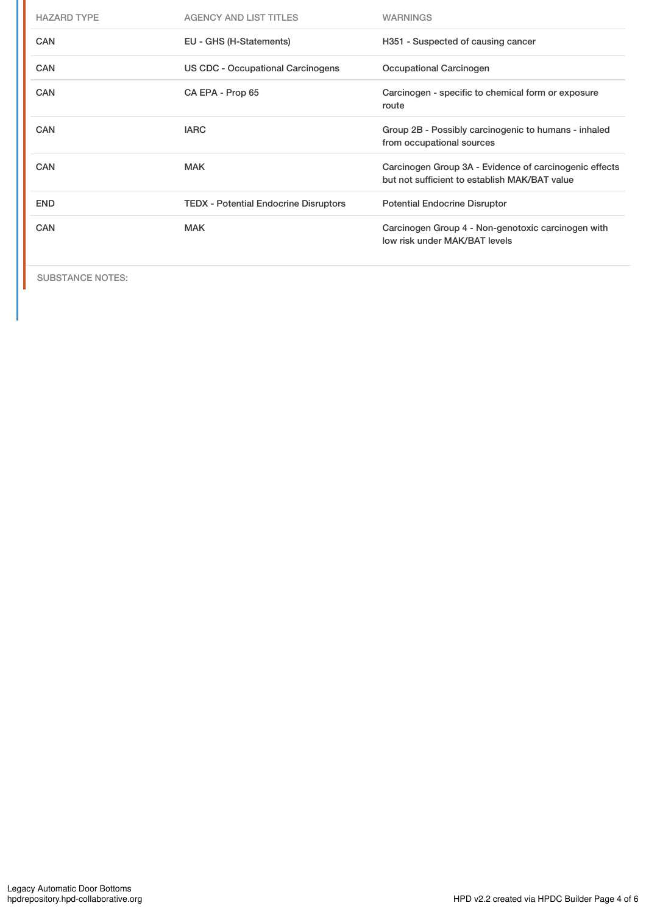| <b>HAZARD TYPE</b> | <b>AGENCY AND LIST TITLES</b>                | <b>WARNINGS</b>                                                                                         |
|--------------------|----------------------------------------------|---------------------------------------------------------------------------------------------------------|
| <b>CAN</b>         | EU - GHS (H-Statements)                      | H351 - Suspected of causing cancer                                                                      |
| <b>CAN</b>         | US CDC - Occupational Carcinogens            | Occupational Carcinogen                                                                                 |
| <b>CAN</b>         | CA EPA - Prop 65                             | Carcinogen - specific to chemical form or exposure<br>route                                             |
| <b>CAN</b>         | <b>IARC</b>                                  | Group 2B - Possibly carcinogenic to humans - inhaled<br>from occupational sources                       |
| <b>CAN</b>         | <b>MAK</b>                                   | Carcinogen Group 3A - Evidence of carcinogenic effects<br>but not sufficient to establish MAK/BAT value |
| <b>END</b>         | <b>TEDX</b> - Potential Endocrine Disruptors | <b>Potential Endocrine Disruptor</b>                                                                    |
| CAN                | <b>MAK</b>                                   | Carcinogen Group 4 - Non-genotoxic carcinogen with<br>low risk under MAK/BAT levels                     |

SUBSTANCE NOTES: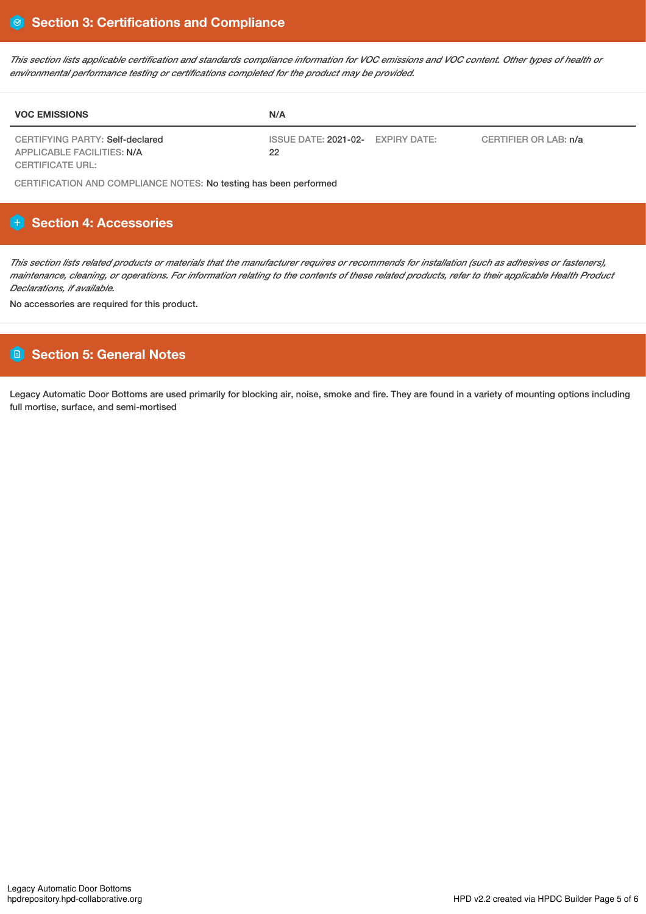This section lists applicable certification and standards compliance information for VOC emissions and VOC content. Other types of health or *environmental performance testing or certifications completed for the product may be provided.*

| <b>VOC EMISSIONS</b>                                          | N/A                                                              |  |
|---------------------------------------------------------------|------------------------------------------------------------------|--|
| CERTIFYING PARTY: Self-declared<br>APPLICABLE FACILITIES: N/A | CERTIFIER OR LAB: n/a<br>ISSUE DATE: 2021-02- EXPIRY DATE:<br>22 |  |
| <b>CERTIFICATE URL:</b>                                       |                                                                  |  |

CERTIFICATION AND COMPLIANCE NOTES: No testing has been performed

## **Section 4: Accessories**

This section lists related products or materials that the manufacturer requires or recommends for installation (such as adhesives or fasteners), maintenance, cleaning, or operations. For information relating to the contents of these related products, refer to their applicable Health Product *Declarations, if available.*

No accessories are required for this product.

## **Section 5: General Notes**

Legacy Automatic Door Bottoms are used primarily for blocking air, noise, smoke and fire. They are found in a variety of mounting options including full mortise, surface, and semi-mortised